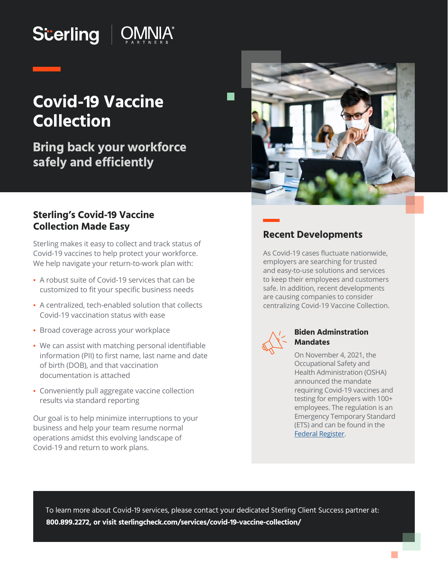# **Scerling | OMNIA®**

## **Covid-19 Vaccine Collection**

**Bring back your workforce safely and efficiently**



#### **Sterling's Covid-19 Vaccine Collection Made Easy**

Sterling makes it easy to collect and track status of Covid-19 vaccines to help protect your workforce. We help navigate your return-to-work plan with:

- A robust suite of Covid-19 services that can be customized to fit your specific business needs
- A centralized, tech-enabled solution that collects Covid-19 vaccination status with ease
- **· Broad coverage across your workplace**
- We can assist with matching personal identifiable information (PII) to first name, last name and date of birth (DOB), and that vaccination documentation is attached
- Conveniently pull aggregate vaccine collection results via standard reporting

Our goal is to help minimize interruptions to your business and help your team resume normal operations amidst this evolving landscape of Covid-19 and return to work plans.

#### **Recent Developments**

As Covid-19 cases fluctuate nationwide, employers are searching for trusted and easy-to-use solutions and services to keep their employees and customers safe. In addition, recent developments are causing companies to consider centralizing Covid-19 Vaccine Collection.



#### **Biden Adminstration Mandates**

On November 4, 2021, the Occupational Safety and Health Administration (OSHA) announced the mandate requiring Covid-19 vaccines and testing for employers with 100+ employees. The regulation is an Emergency Temporary Standard (ETS) and can be found in the [Federal Register.](https://www.govinfo.gov/content/pkg/FR-2021-11-05/pdf/2021-23643.pdf)

To learn more about Covid-19 services, please contact your dedicated Sterling Client Success partner at: **800.899.2272, or visi[t sterlingcheck.com/services/covid-19-vaccine-collection/](https://www.sterlingcheck.com/services/covid-19-vaccine-collection/)**